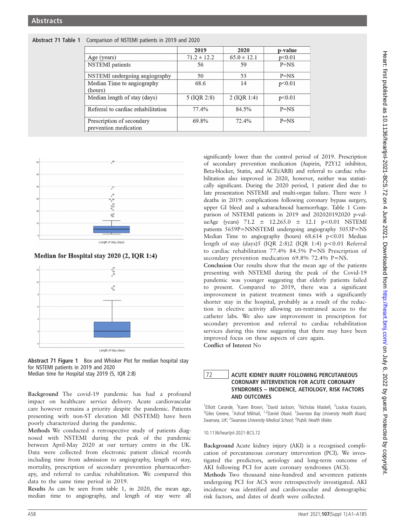|                                                    | 2019            | 2020            | p-value |
|----------------------------------------------------|-----------------|-----------------|---------|
| Age (years)                                        | $71.2 \pm 12.2$ | $65.0 \pm 12.1$ | p<0.01  |
| <b>NSTEMI</b> patients                             | 56              | 59              | $P=NS$  |
| NSTEMI undergoing angiography                      | 50              | 53              | $P=NS$  |
| Median Time to angiography<br>(hours)              | 68.6            | 14              | p<0.01  |
| Median length of stay (days)                       | $5$ (IQR 2:8)   | 2 (IQR 1:4)     | p<0.01  |
| Referral to cardiac rehabilitation                 | 77.4%           | 84.5%           | $P=NS$  |
| Prescription of secondary<br>prevention medication | 69.8%           | 72.4%           | $P=NS$  |





Median for Hospital stay 2020 (2, IQR 1:4)





Background The covid-19 pandemic has had a profound impact on healthcare service delivery. Acute cardiovascular care however remains a priority despite the pandemic. Patients presenting with non-ST elevation MI (NSTEMI) have been poorly characterized during the pandemic.

Methods We conducted a retrospective study of patients diagnosed with NSTEMI during the peak of the pandemic between April-May 2020 at our tertiary centre in the UK. Data were collected from electronic patient clinical records including time from admission to angiography, length of stay, mortality, prescription of secondary prevention pharmacotherapy, and referral to cardiac rehabilitation. We compared this data to the same time period in 2019.

Results As can be seen from table 1, in 2020, the mean age, median time to angiography, and length of stay were all

significantly lower than the control period of 2019. Prescription of secondary prevention medication (Aspirin, P2Y12 inhibitor, Beta-blocker, Statin, and ACEi/ARB) and referral to cardiac rehabilitation also improved in 2020, however, neither was statistically significant. During the 2020 period, 1 patient died due to late presentation NSTEMI and multi-organ failure. There were 3 deaths in 2019: complications following coronary bypass surgery, upper GI bleed and a subarachnoid haemorrhage. Table 1 Comparison of NSTEMI patients in 2019 and 202020192020 p-valueAge (years)  $71.2 \pm 12.265.0 \pm 12.1$  p<0.01 NSTEMI patients 5659P=NSNSTEMI undergoing angiography 5053P=NS Median Time to angiography (hours)  $68.614$  p<0.01 Median length of stay (days)5 (IOR 2:8)2 (IOR 1:4)  $p < 0.01$  Referral to cardiac rehabilitation 77.4% 84.5% P=NS Prescription of secondary prevention medication 69.8% 72.4% P=NS.

Conclusion Our results show that the mean age of the patients presenting with NSTEMI during the peak of the Covid-19 pandemic was younger suggesting that elderly patients failed to present. Compared to 2019, there was a significant improvement in patient treatment times with a significantly shorter stay in the hospital, probably as a result of the reduction in elective activity allowing un-restrained access to the catheter labs. We also saw improvement in prescription for secondary prevention and referral to cardiac rehabilitation services during this time suggesting that there may have been improved focus on these aspects of care again. Conflict of Interest No

## 72 ACUTE KIDNEY INJURY FOLLOWING PERCUTANEOUS CORONARY INTERVENTION FOR ACUTE CORONARY SYNDROMES – INCIDENCE, AETIOLOGY, RISK FACTORS AND OUTCOMES

<sup>1</sup>Elliott Carande, <sup>1</sup>Karen Brown, <sup>1</sup>David Jackson, <sup>1</sup>Nicholas Maskell, <sup>2</sup>Loukas Kouzaris, <sup>3</sup>Giles Greene, <sup>1</sup>Ashraf Mikhail, <sup>1,2</sup>Daniel Obaid. <sup>1</sup>Swansea Bay University Health Board, Swansea, UK; <sup>2</sup>Swansea University Medical School; <sup>3</sup>Public Health Wales

10.1136/heartjnl-2021-BCS.72

Background Acute kidney injury (AKI) is a recognised complication of percutaneous coronary intervention (PCI). We investigated the predictors, aetiology and long-term outcome of AKI following PCI for acute coronary syndromes (ACS).

Methods Two thousand nine-hundred and seventeen patients undergoing PCI for ACS were retrospectively investigated. AKI incidence was identified and cardiovascular and demographic risk factors, and dates of death were collected.